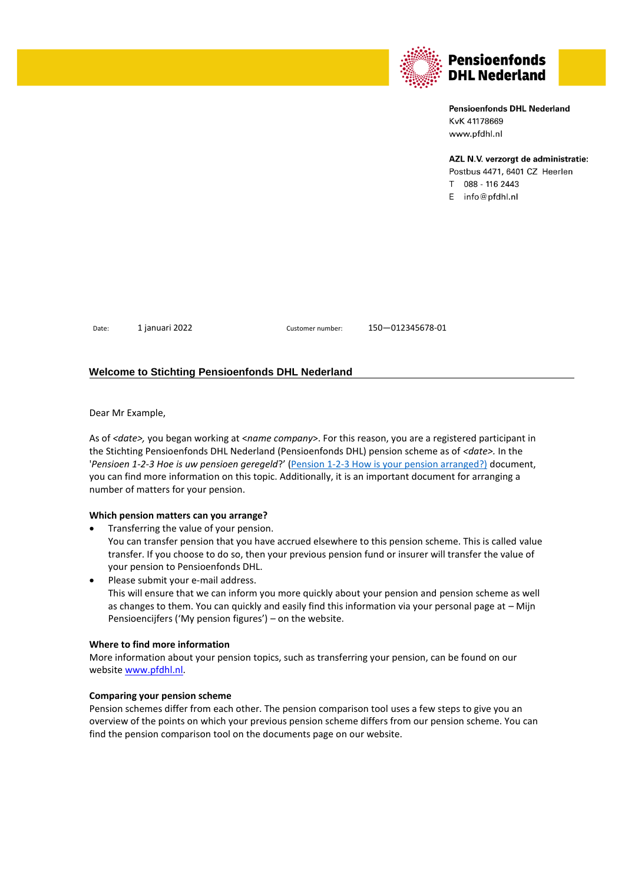

# **Pensioenfonds DHL Nederland** KvK 41178669 www.pfdhl.nl

## AZL N.V. verzorgt de administratie:

Postbus 4471, 6401 CZ Heerlen T 088 - 116 2443  $E$  info@pfdhl.nl

Date: 1 januari 2022 Customer number: 150—012345678-01

## **Welcome to Stichting Pensioenfonds DHL Nederland**

Dear Mr Example,

As of *<date>,* you began working at <*name company*>. For this reason, you are a registered participant in the Stichting Pensioenfonds DHL Nederland (Pensioenfonds DHL) pension scheme as of *<date>.* In the '*Pensioen 1-2-3 Hoe is uw pensioen geregeld*?' ([Pension 1-2-3 How is your pension arranged?\)](https://www.pfdhl.nl/media/12457/dhl_p123_laag1_basis_en.pdf) document, you can find more information on this topic. Additionally, it is an important document for arranging a number of matters for your pension.

## **Which pension matters can you arrange?**

• Transferring the value of your pension. You can transfer pension that you have accrued elsewhere to this pension scheme. This is called value transfer. If you choose to do so, then your previous pension fund or insurer will transfer the value of your pension to Pensioenfonds DHL.

Please submit your e-mail address. This will ensure that we can inform you more quickly about your pension and pension scheme as well as changes to them. You can quickly and easily find this information via your personal page at – Mijn Pensioencijfers ('My pension figures') – on the website.

## **Where to find more information**

More information about your pension topics, such as transferring your pension, can be found on our website [www.pfdhl.nl.](http://www.pfdhl.nl/)

## **Comparing your pension scheme**

Pension schemes differ from each other. The pension comparison tool uses a few steps to give you an overview of the points on which your previous pension scheme differs from our pension scheme. You can find the pension comparison tool on the documents page on our website.